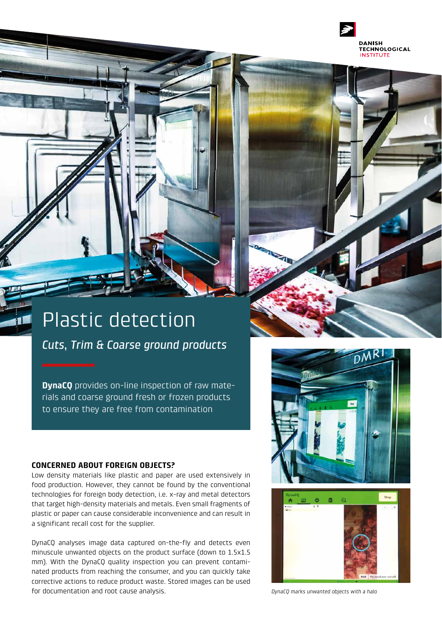

# Plastic detection

*Cuts, Trim & Coarse ground products* 

**DynaCQ** provides on-line inspection of raw materials and coarse ground fresh or frozen products to ensure they are free from contamination

### **CONCERNED ABOUT FOREIGN OBJECTS?**

Low density materials like plastic and paper are used extensively in food production. However, they cannot be found by the conventional technologies for foreign body detection, i.e. x-ray and metal detectors that target high-density materials and metals. Even small fragments of plastic or paper can cause considerable inconvenience and can result in a significant recall cost for the supplier.

DynaCQ analyses image data captured on-the-fly and detects even minuscule unwanted objects on the product surface (down to 1.5x1.5 mm). With the DynaCQ quality inspection you can prevent contaminated products from reaching the consumer, and you can quickly take corrective actions to reduce product waste. Stored images can be used for documentation and root cause analysis. *DynaCQ marks unwanted objects with a halo*